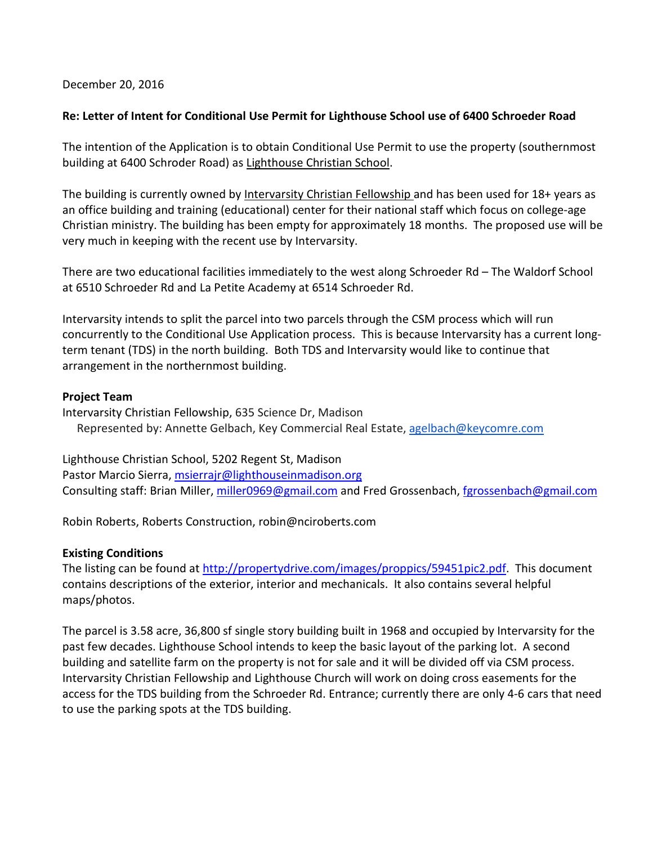December 20, 2016

# **Re: Letter of Intent for Conditional Use Permit for Lighthouse School use of 6400 Schroeder Road**

The intention of the Application is to obtain Conditional Use Permit to use the property (southernmost building at 6400 Schroder Road) as Lighthouse Christian School.

The building is currently owned by Intervarsity Christian Fellowship and has been used for 18+ years as an office building and training (educational) center for their national staff which focus on college-age Christian ministry. The building has been empty for approximately 18 months. The proposed use will be very much in keeping with the recent use by Intervarsity.

There are two educational facilities immediately to the west along Schroeder Rd – The Waldorf School at 6510 Schroeder Rd and La Petite Academy at 6514 Schroeder Rd.

Intervarsity intends to split the parcel into two parcels through the CSM process which will run concurrently to the Conditional Use Application process. This is because Intervarsity has a current longterm tenant (TDS) in the north building. Both TDS and Intervarsity would like to continue that arrangement in the northernmost building.

#### **Project Team**

Intervarsity Christian Fellowship, 635 Science Dr, Madison Represented by: Annette Gelbach, Key Commercial Real Estate, [agelbach@keycomre.com](mailto:agelbach@keycomre.com)

Lighthouse Christian School, 5202 Regent St, Madison Pastor Marcio Sierra[, msierrajr@lighthouseinmadison.org](mailto:msierrajr@lighthouseinmadison.org) Consulting staff: Brian Miller, [miller0969@gmail.com](mailto:miller0969@gmail.com) and Fred Grossenbach, [fgrossenbach@gmail.com](mailto:fgrossenbach@gmail.com)

Robin Roberts, Roberts Construction, robin@nciroberts.com

# **Existing Conditions**

The listing can be found at [http://propertydrive.com/images/proppics/59451pic2.pdf.](http://propertydrive.com/images/proppics/59451pic2.pdf) This document contains descriptions of the exterior, interior and mechanicals. It also contains several helpful maps/photos.

The parcel is 3.58 acre, 36,800 sf single story building built in 1968 and occupied by Intervarsity for the past few decades. Lighthouse School intends to keep the basic layout of the parking lot. A second building and satellite farm on the property is not for sale and it will be divided off via CSM process. Intervarsity Christian Fellowship and Lighthouse Church will work on doing cross easements for the access for the TDS building from the Schroeder Rd. Entrance; currently there are only 4-6 cars that need to use the parking spots at the TDS building.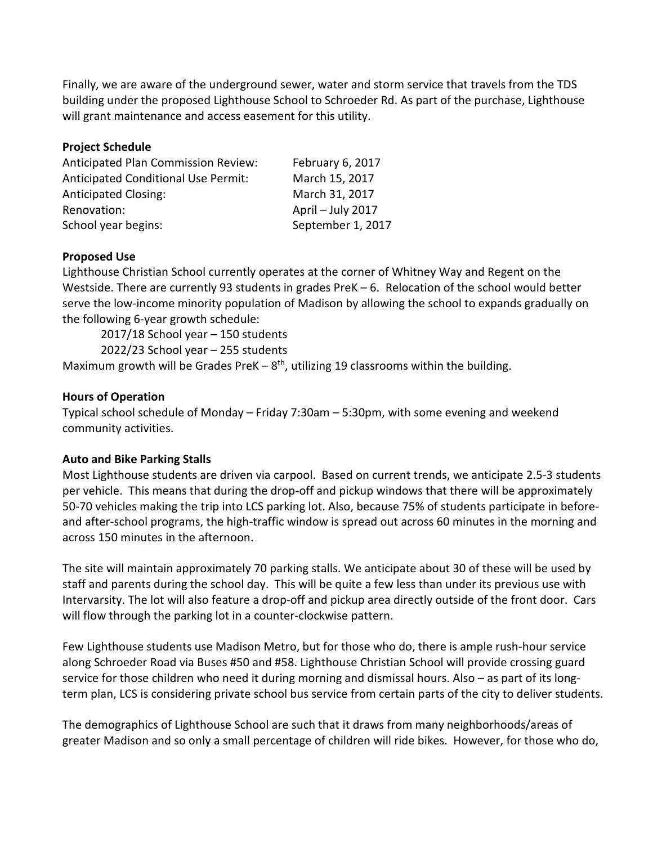Finally, we are aware of the underground sewer, water and storm service that travels from the TDS building under the proposed Lighthouse School to Schroeder Rd. As part of the purchase, Lighthouse will grant maintenance and access easement for this utility.

### **Project Schedule**

| <b>Anticipated Plan Commission Review:</b> | February 6, 2017  |
|--------------------------------------------|-------------------|
| <b>Anticipated Conditional Use Permit:</b> | March 15, 2017    |
| <b>Anticipated Closing:</b>                | March 31, 2017    |
| Renovation:                                | April - July 2017 |
| School year begins:                        | September 1, 2017 |

#### **Proposed Use**

Lighthouse Christian School currently operates at the corner of Whitney Way and Regent on the Westside. There are currently 93 students in grades PreK – 6. Relocation of the school would better serve the low-income minority population of Madison by allowing the school to expands gradually on the following 6-year growth schedule:

2017/18 School year – 150 students

2022/23 School year – 255 students

Maximum growth will be Grades PreK  $-8$ <sup>th</sup>, utilizing 19 classrooms within the building.

#### **Hours of Operation**

Typical school schedule of Monday – Friday 7:30am – 5:30pm, with some evening and weekend community activities.

#### **Auto and Bike Parking Stalls**

Most Lighthouse students are driven via carpool. Based on current trends, we anticipate 2.5-3 students per vehicle. This means that during the drop-off and pickup windows that there will be approximately 50-70 vehicles making the trip into LCS parking lot. Also, because 75% of students participate in beforeand after-school programs, the high-traffic window is spread out across 60 minutes in the morning and across 150 minutes in the afternoon.

The site will maintain approximately 70 parking stalls. We anticipate about 30 of these will be used by staff and parents during the school day. This will be quite a few less than under its previous use with Intervarsity. The lot will also feature a drop-off and pickup area directly outside of the front door. Cars will flow through the parking lot in a counter-clockwise pattern.

Few Lighthouse students use Madison Metro, but for those who do, there is ample rush-hour service along Schroeder Road via Buses #50 and #58. Lighthouse Christian School will provide crossing guard service for those children who need it during morning and dismissal hours. Also – as part of its longterm plan, LCS is considering private school bus service from certain parts of the city to deliver students.

The demographics of Lighthouse School are such that it draws from many neighborhoods/areas of greater Madison and so only a small percentage of children will ride bikes. However, for those who do,